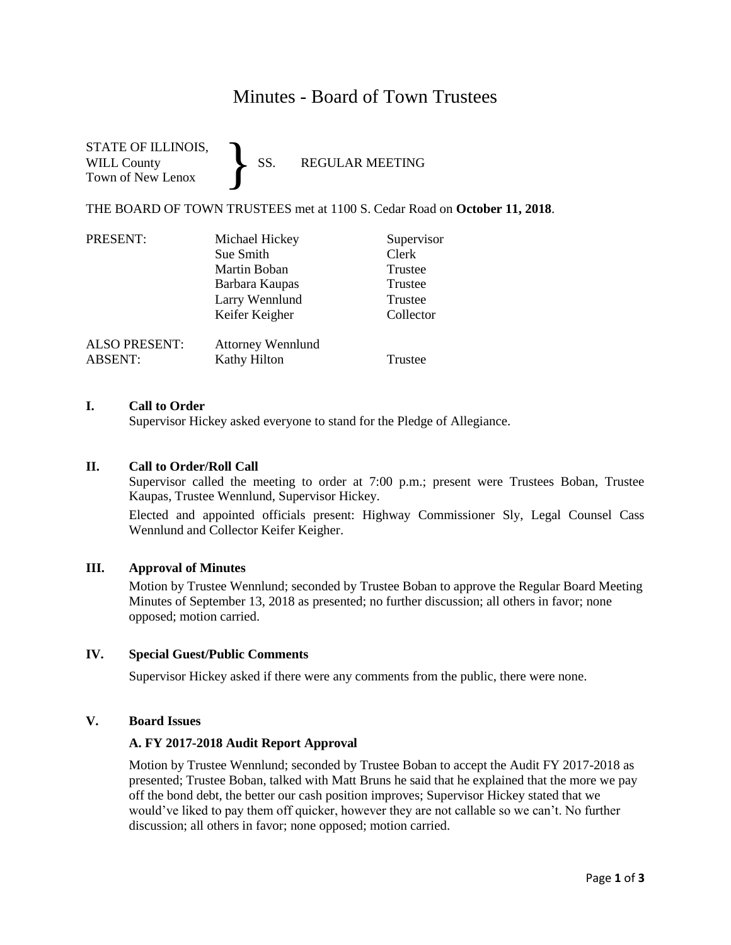# Minutes - Board of Town Trustees

#### STATE OF ILLINOIS, WILL County SS. REGULAR MEETING Town of New Lenox }

THE BOARD OF TOWN TRUSTEES met at 1100 S. Cedar Road on **October 11, 2018**.

| PRESENT:             | Michael Hickey           | Supervisor |
|----------------------|--------------------------|------------|
|                      | Sue Smith                | Clerk      |
|                      | Martin Boban             | Trustee    |
|                      | Barbara Kaupas           | Trustee    |
|                      | Larry Wennlund           | Trustee    |
|                      | Keifer Keigher           | Collector  |
| <b>ALSO PRESENT:</b> | <b>Attorney Wennlund</b> |            |
| <b>ABSENT:</b>       | <b>Kathy Hilton</b>      | Trustee    |

#### **I. Call to Order**

Supervisor Hickey asked everyone to stand for the Pledge of Allegiance.

### **II. Call to Order/Roll Call**

Supervisor called the meeting to order at 7:00 p.m.; present were Trustees Boban, Trustee Kaupas, Trustee Wennlund, Supervisor Hickey.

Elected and appointed officials present: Highway Commissioner Sly, Legal Counsel Cass Wennlund and Collector Keifer Keigher.

#### **III. Approval of Minutes**

Motion by Trustee Wennlund; seconded by Trustee Boban to approve the Regular Board Meeting Minutes of September 13, 2018 as presented; no further discussion; all others in favor; none opposed; motion carried.

#### **IV. Special Guest/Public Comments**

Supervisor Hickey asked if there were any comments from the public, there were none.

#### **V. Board Issues**

#### **A. FY 2017-2018 Audit Report Approval**

Motion by Trustee Wennlund; seconded by Trustee Boban to accept the Audit FY 2017-2018 as presented; Trustee Boban, talked with Matt Bruns he said that he explained that the more we pay off the bond debt, the better our cash position improves; Supervisor Hickey stated that we would've liked to pay them off quicker, however they are not callable so we can't. No further discussion; all others in favor; none opposed; motion carried.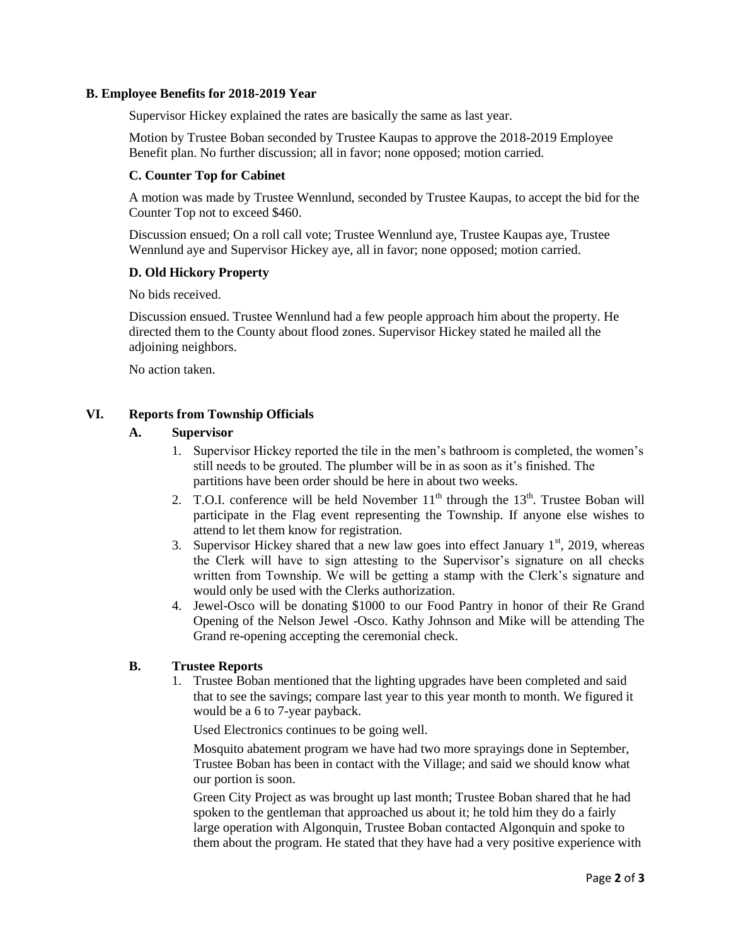#### **B. Employee Benefits for 2018-2019 Year**

Supervisor Hickey explained the rates are basically the same as last year.

Motion by Trustee Boban seconded by Trustee Kaupas to approve the 2018-2019 Employee Benefit plan. No further discussion; all in favor; none opposed; motion carried.

#### **C. Counter Top for Cabinet**

A motion was made by Trustee Wennlund, seconded by Trustee Kaupas, to accept the bid for the Counter Top not to exceed \$460.

Discussion ensued; On a roll call vote; Trustee Wennlund aye, Trustee Kaupas aye, Trustee Wennlund aye and Supervisor Hickey aye, all in favor; none opposed; motion carried.

#### **D. Old Hickory Property**

No bids received.

Discussion ensued. Trustee Wennlund had a few people approach him about the property. He directed them to the County about flood zones. Supervisor Hickey stated he mailed all the adjoining neighbors.

No action taken.

# **VI. Reports from Township Officials**

# **A. Supervisor**

- 1. Supervisor Hickey reported the tile in the men's bathroom is completed, the women's still needs to be grouted. The plumber will be in as soon as it's finished. The partitions have been order should be here in about two weeks.
- 2. T.O.I. conference will be held November  $11<sup>th</sup>$  through the  $13<sup>th</sup>$ . Trustee Boban will participate in the Flag event representing the Township. If anyone else wishes to attend to let them know for registration.
- 3. Supervisor Hickey shared that a new law goes into effect January  $1<sup>st</sup>$ , 2019, whereas the Clerk will have to sign attesting to the Supervisor's signature on all checks written from Township. We will be getting a stamp with the Clerk's signature and would only be used with the Clerks authorization.
- 4. Jewel-Osco will be donating \$1000 to our Food Pantry in honor of their Re Grand Opening of the Nelson Jewel -Osco. Kathy Johnson and Mike will be attending The Grand re-opening accepting the ceremonial check.

# **B. Trustee Reports**

1. Trustee Boban mentioned that the lighting upgrades have been completed and said that to see the savings; compare last year to this year month to month. We figured it would be a 6 to 7-year payback.

Used Electronics continues to be going well.

Mosquito abatement program we have had two more sprayings done in September, Trustee Boban has been in contact with the Village; and said we should know what our portion is soon.

Green City Project as was brought up last month; Trustee Boban shared that he had spoken to the gentleman that approached us about it; he told him they do a fairly large operation with Algonquin, Trustee Boban contacted Algonquin and spoke to them about the program. He stated that they have had a very positive experience with